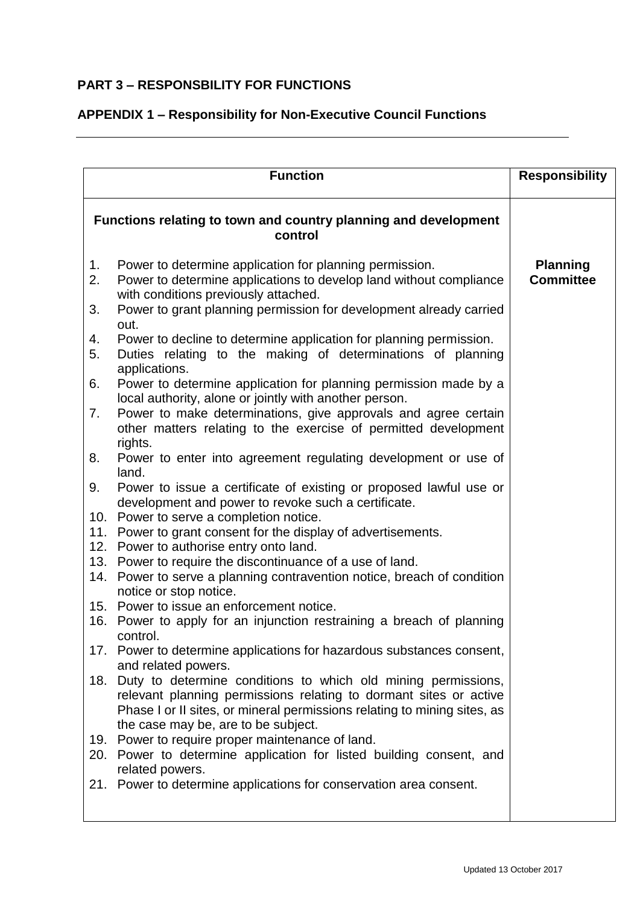## **PART 3 – RESPONSBILITY FOR FUNCTIONS**

## **APPENDIX 1 – Responsibility for Non-Executive Council Functions**

|                                                                            | <b>Function</b>                                                                                                                                                                                                                                                                                                                                                                                                                                                                                                                                                                                                                                                                                                                                                                                                                                                                                                                                                                                         | <b>Responsibility</b>               |
|----------------------------------------------------------------------------|---------------------------------------------------------------------------------------------------------------------------------------------------------------------------------------------------------------------------------------------------------------------------------------------------------------------------------------------------------------------------------------------------------------------------------------------------------------------------------------------------------------------------------------------------------------------------------------------------------------------------------------------------------------------------------------------------------------------------------------------------------------------------------------------------------------------------------------------------------------------------------------------------------------------------------------------------------------------------------------------------------|-------------------------------------|
| Functions relating to town and country planning and development<br>control |                                                                                                                                                                                                                                                                                                                                                                                                                                                                                                                                                                                                                                                                                                                                                                                                                                                                                                                                                                                                         |                                     |
| 1 <sub>1</sub><br>2.<br>3.<br>4.<br>5.<br>6.<br>7.<br>8.<br>9.<br>11.      | Power to determine application for planning permission.<br>Power to determine applications to develop land without compliance<br>with conditions previously attached.<br>Power to grant planning permission for development already carried<br>out.<br>Power to decline to determine application for planning permission.<br>Duties relating to the making of determinations of planning<br>applications.<br>Power to determine application for planning permission made by a<br>local authority, alone or jointly with another person.<br>Power to make determinations, give approvals and agree certain<br>other matters relating to the exercise of permitted development<br>rights.<br>Power to enter into agreement regulating development or use of<br>land.<br>Power to issue a certificate of existing or proposed lawful use or<br>development and power to revoke such a certificate.<br>10. Power to serve a completion notice.<br>Power to grant consent for the display of advertisements. | <b>Planning</b><br><b>Committee</b> |
|                                                                            | 12. Power to authorise entry onto land.<br>13. Power to require the discontinuance of a use of land.<br>14. Power to serve a planning contravention notice, breach of condition<br>notice or stop notice.<br>15. Power to issue an enforcement notice.<br>16. Power to apply for an injunction restraining a breach of planning<br>control                                                                                                                                                                                                                                                                                                                                                                                                                                                                                                                                                                                                                                                              |                                     |
| 18.                                                                        | 17. Power to determine applications for hazardous substances consent,<br>and related powers.<br>Duty to determine conditions to which old mining permissions,<br>relevant planning permissions relating to dormant sites or active<br>Phase I or II sites, or mineral permissions relating to mining sites, as<br>the case may be, are to be subject.                                                                                                                                                                                                                                                                                                                                                                                                                                                                                                                                                                                                                                                   |                                     |
| 21.                                                                        | 19. Power to require proper maintenance of land.<br>20. Power to determine application for listed building consent, and<br>related powers.<br>Power to determine applications for conservation area consent.                                                                                                                                                                                                                                                                                                                                                                                                                                                                                                                                                                                                                                                                                                                                                                                            |                                     |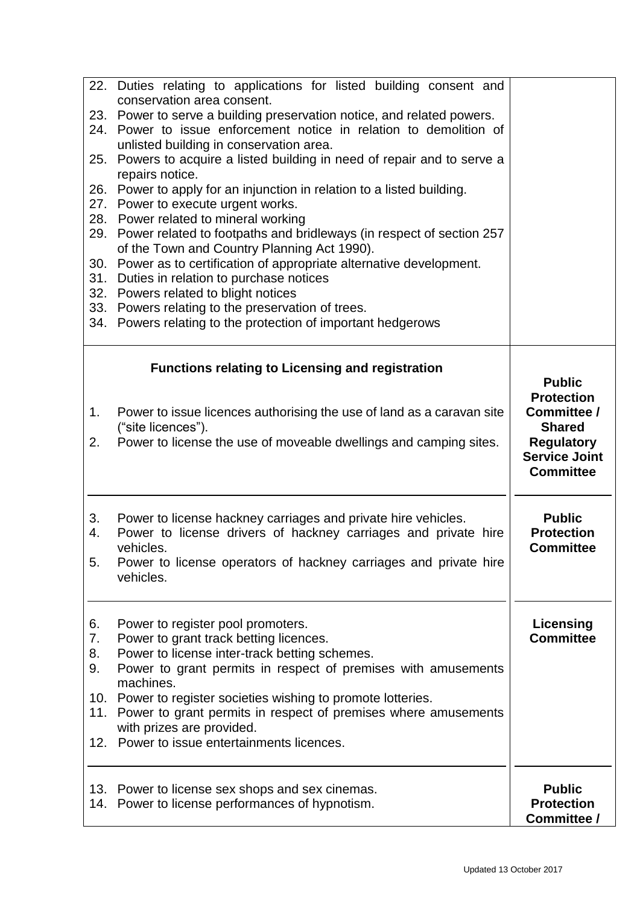| Power to serve a building preservation notice, and related powers.<br>23.<br>Power to issue enforcement notice in relation to demolition of<br>24.<br>unlisted building in conservation area.<br>Powers to acquire a listed building in need of repair and to serve a<br>25.<br>repairs notice.<br>Power to apply for an injunction in relation to a listed building.<br>26.<br>Power to execute urgent works.<br>27.<br>28. Power related to mineral working<br>Power related to footpaths and bridleways (in respect of section 257<br>29.<br>of the Town and Country Planning Act 1990).<br>Power as to certification of appropriate alternative development.<br>30.<br>Duties in relation to purchase notices<br>31.<br>32. Powers related to blight notices<br>33. Powers relating to the preservation of trees.<br>34. Powers relating to the protection of important hedgerows<br><b>Functions relating to Licensing and registration</b><br><b>Public</b><br><b>Protection</b><br>Committee /<br>Power to issue licences authorising the use of land as a caravan site<br>1.<br>("site licences").<br><b>Shared</b><br><b>Regulatory</b><br>2.<br>Power to license the use of moveable dwellings and camping sites.<br><b>Service Joint</b><br><b>Committee</b><br>Power to license hackney carriages and private hire vehicles.<br><b>Public</b><br>3.<br><b>Protection</b><br>Power to license drivers of hackney carriages and private hire<br>4.<br><b>Committee</b><br>vehicles.<br>Power to license operators of hackney carriages and private hire<br>5.<br>vehicles.<br>Licensing<br>Power to register pool promoters.<br>6.<br><b>Committee</b><br>Power to grant track betting licences.<br>7.<br>Power to license inter-track betting schemes.<br>8.<br>Power to grant permits in respect of premises with amusements<br>9.<br>machines.<br>10. Power to register societies wishing to promote lotteries.<br>Power to grant permits in respect of premises where amusements<br>11.<br>with prizes are provided.<br>12. Power to issue entertainments licences.<br>13. Power to license sex shops and sex cinemas.<br><b>Public</b><br>14. Power to license performances of hypnotism.<br><b>Protection</b> | 22. Duties relating to applications for listed building consent and<br>conservation area consent. |             |
|-------------------------------------------------------------------------------------------------------------------------------------------------------------------------------------------------------------------------------------------------------------------------------------------------------------------------------------------------------------------------------------------------------------------------------------------------------------------------------------------------------------------------------------------------------------------------------------------------------------------------------------------------------------------------------------------------------------------------------------------------------------------------------------------------------------------------------------------------------------------------------------------------------------------------------------------------------------------------------------------------------------------------------------------------------------------------------------------------------------------------------------------------------------------------------------------------------------------------------------------------------------------------------------------------------------------------------------------------------------------------------------------------------------------------------------------------------------------------------------------------------------------------------------------------------------------------------------------------------------------------------------------------------------------------------------------------------------------------------------------------------------------------------------------------------------------------------------------------------------------------------------------------------------------------------------------------------------------------------------------------------------------------------------------------------------------------------------------------------------------------------------------------------------------------------------------------------------------------------|---------------------------------------------------------------------------------------------------|-------------|
|                                                                                                                                                                                                                                                                                                                                                                                                                                                                                                                                                                                                                                                                                                                                                                                                                                                                                                                                                                                                                                                                                                                                                                                                                                                                                                                                                                                                                                                                                                                                                                                                                                                                                                                                                                                                                                                                                                                                                                                                                                                                                                                                                                                                                               |                                                                                                   |             |
|                                                                                                                                                                                                                                                                                                                                                                                                                                                                                                                                                                                                                                                                                                                                                                                                                                                                                                                                                                                                                                                                                                                                                                                                                                                                                                                                                                                                                                                                                                                                                                                                                                                                                                                                                                                                                                                                                                                                                                                                                                                                                                                                                                                                                               |                                                                                                   |             |
|                                                                                                                                                                                                                                                                                                                                                                                                                                                                                                                                                                                                                                                                                                                                                                                                                                                                                                                                                                                                                                                                                                                                                                                                                                                                                                                                                                                                                                                                                                                                                                                                                                                                                                                                                                                                                                                                                                                                                                                                                                                                                                                                                                                                                               |                                                                                                   |             |
|                                                                                                                                                                                                                                                                                                                                                                                                                                                                                                                                                                                                                                                                                                                                                                                                                                                                                                                                                                                                                                                                                                                                                                                                                                                                                                                                                                                                                                                                                                                                                                                                                                                                                                                                                                                                                                                                                                                                                                                                                                                                                                                                                                                                                               |                                                                                                   |             |
|                                                                                                                                                                                                                                                                                                                                                                                                                                                                                                                                                                                                                                                                                                                                                                                                                                                                                                                                                                                                                                                                                                                                                                                                                                                                                                                                                                                                                                                                                                                                                                                                                                                                                                                                                                                                                                                                                                                                                                                                                                                                                                                                                                                                                               |                                                                                                   |             |
|                                                                                                                                                                                                                                                                                                                                                                                                                                                                                                                                                                                                                                                                                                                                                                                                                                                                                                                                                                                                                                                                                                                                                                                                                                                                                                                                                                                                                                                                                                                                                                                                                                                                                                                                                                                                                                                                                                                                                                                                                                                                                                                                                                                                                               |                                                                                                   |             |
|                                                                                                                                                                                                                                                                                                                                                                                                                                                                                                                                                                                                                                                                                                                                                                                                                                                                                                                                                                                                                                                                                                                                                                                                                                                                                                                                                                                                                                                                                                                                                                                                                                                                                                                                                                                                                                                                                                                                                                                                                                                                                                                                                                                                                               |                                                                                                   |             |
|                                                                                                                                                                                                                                                                                                                                                                                                                                                                                                                                                                                                                                                                                                                                                                                                                                                                                                                                                                                                                                                                                                                                                                                                                                                                                                                                                                                                                                                                                                                                                                                                                                                                                                                                                                                                                                                                                                                                                                                                                                                                                                                                                                                                                               |                                                                                                   |             |
|                                                                                                                                                                                                                                                                                                                                                                                                                                                                                                                                                                                                                                                                                                                                                                                                                                                                                                                                                                                                                                                                                                                                                                                                                                                                                                                                                                                                                                                                                                                                                                                                                                                                                                                                                                                                                                                                                                                                                                                                                                                                                                                                                                                                                               |                                                                                                   |             |
|                                                                                                                                                                                                                                                                                                                                                                                                                                                                                                                                                                                                                                                                                                                                                                                                                                                                                                                                                                                                                                                                                                                                                                                                                                                                                                                                                                                                                                                                                                                                                                                                                                                                                                                                                                                                                                                                                                                                                                                                                                                                                                                                                                                                                               |                                                                                                   |             |
|                                                                                                                                                                                                                                                                                                                                                                                                                                                                                                                                                                                                                                                                                                                                                                                                                                                                                                                                                                                                                                                                                                                                                                                                                                                                                                                                                                                                                                                                                                                                                                                                                                                                                                                                                                                                                                                                                                                                                                                                                                                                                                                                                                                                                               |                                                                                                   |             |
|                                                                                                                                                                                                                                                                                                                                                                                                                                                                                                                                                                                                                                                                                                                                                                                                                                                                                                                                                                                                                                                                                                                                                                                                                                                                                                                                                                                                                                                                                                                                                                                                                                                                                                                                                                                                                                                                                                                                                                                                                                                                                                                                                                                                                               |                                                                                                   |             |
|                                                                                                                                                                                                                                                                                                                                                                                                                                                                                                                                                                                                                                                                                                                                                                                                                                                                                                                                                                                                                                                                                                                                                                                                                                                                                                                                                                                                                                                                                                                                                                                                                                                                                                                                                                                                                                                                                                                                                                                                                                                                                                                                                                                                                               |                                                                                                   |             |
|                                                                                                                                                                                                                                                                                                                                                                                                                                                                                                                                                                                                                                                                                                                                                                                                                                                                                                                                                                                                                                                                                                                                                                                                                                                                                                                                                                                                                                                                                                                                                                                                                                                                                                                                                                                                                                                                                                                                                                                                                                                                                                                                                                                                                               |                                                                                                   |             |
|                                                                                                                                                                                                                                                                                                                                                                                                                                                                                                                                                                                                                                                                                                                                                                                                                                                                                                                                                                                                                                                                                                                                                                                                                                                                                                                                                                                                                                                                                                                                                                                                                                                                                                                                                                                                                                                                                                                                                                                                                                                                                                                                                                                                                               |                                                                                                   |             |
|                                                                                                                                                                                                                                                                                                                                                                                                                                                                                                                                                                                                                                                                                                                                                                                                                                                                                                                                                                                                                                                                                                                                                                                                                                                                                                                                                                                                                                                                                                                                                                                                                                                                                                                                                                                                                                                                                                                                                                                                                                                                                                                                                                                                                               |                                                                                                   |             |
|                                                                                                                                                                                                                                                                                                                                                                                                                                                                                                                                                                                                                                                                                                                                                                                                                                                                                                                                                                                                                                                                                                                                                                                                                                                                                                                                                                                                                                                                                                                                                                                                                                                                                                                                                                                                                                                                                                                                                                                                                                                                                                                                                                                                                               |                                                                                                   |             |
|                                                                                                                                                                                                                                                                                                                                                                                                                                                                                                                                                                                                                                                                                                                                                                                                                                                                                                                                                                                                                                                                                                                                                                                                                                                                                                                                                                                                                                                                                                                                                                                                                                                                                                                                                                                                                                                                                                                                                                                                                                                                                                                                                                                                                               |                                                                                                   |             |
|                                                                                                                                                                                                                                                                                                                                                                                                                                                                                                                                                                                                                                                                                                                                                                                                                                                                                                                                                                                                                                                                                                                                                                                                                                                                                                                                                                                                                                                                                                                                                                                                                                                                                                                                                                                                                                                                                                                                                                                                                                                                                                                                                                                                                               |                                                                                                   |             |
|                                                                                                                                                                                                                                                                                                                                                                                                                                                                                                                                                                                                                                                                                                                                                                                                                                                                                                                                                                                                                                                                                                                                                                                                                                                                                                                                                                                                                                                                                                                                                                                                                                                                                                                                                                                                                                                                                                                                                                                                                                                                                                                                                                                                                               |                                                                                                   |             |
|                                                                                                                                                                                                                                                                                                                                                                                                                                                                                                                                                                                                                                                                                                                                                                                                                                                                                                                                                                                                                                                                                                                                                                                                                                                                                                                                                                                                                                                                                                                                                                                                                                                                                                                                                                                                                                                                                                                                                                                                                                                                                                                                                                                                                               |                                                                                                   |             |
|                                                                                                                                                                                                                                                                                                                                                                                                                                                                                                                                                                                                                                                                                                                                                                                                                                                                                                                                                                                                                                                                                                                                                                                                                                                                                                                                                                                                                                                                                                                                                                                                                                                                                                                                                                                                                                                                                                                                                                                                                                                                                                                                                                                                                               |                                                                                                   |             |
|                                                                                                                                                                                                                                                                                                                                                                                                                                                                                                                                                                                                                                                                                                                                                                                                                                                                                                                                                                                                                                                                                                                                                                                                                                                                                                                                                                                                                                                                                                                                                                                                                                                                                                                                                                                                                                                                                                                                                                                                                                                                                                                                                                                                                               |                                                                                                   |             |
|                                                                                                                                                                                                                                                                                                                                                                                                                                                                                                                                                                                                                                                                                                                                                                                                                                                                                                                                                                                                                                                                                                                                                                                                                                                                                                                                                                                                                                                                                                                                                                                                                                                                                                                                                                                                                                                                                                                                                                                                                                                                                                                                                                                                                               |                                                                                                   |             |
|                                                                                                                                                                                                                                                                                                                                                                                                                                                                                                                                                                                                                                                                                                                                                                                                                                                                                                                                                                                                                                                                                                                                                                                                                                                                                                                                                                                                                                                                                                                                                                                                                                                                                                                                                                                                                                                                                                                                                                                                                                                                                                                                                                                                                               |                                                                                                   |             |
|                                                                                                                                                                                                                                                                                                                                                                                                                                                                                                                                                                                                                                                                                                                                                                                                                                                                                                                                                                                                                                                                                                                                                                                                                                                                                                                                                                                                                                                                                                                                                                                                                                                                                                                                                                                                                                                                                                                                                                                                                                                                                                                                                                                                                               |                                                                                                   |             |
|                                                                                                                                                                                                                                                                                                                                                                                                                                                                                                                                                                                                                                                                                                                                                                                                                                                                                                                                                                                                                                                                                                                                                                                                                                                                                                                                                                                                                                                                                                                                                                                                                                                                                                                                                                                                                                                                                                                                                                                                                                                                                                                                                                                                                               |                                                                                                   |             |
|                                                                                                                                                                                                                                                                                                                                                                                                                                                                                                                                                                                                                                                                                                                                                                                                                                                                                                                                                                                                                                                                                                                                                                                                                                                                                                                                                                                                                                                                                                                                                                                                                                                                                                                                                                                                                                                                                                                                                                                                                                                                                                                                                                                                                               |                                                                                                   |             |
|                                                                                                                                                                                                                                                                                                                                                                                                                                                                                                                                                                                                                                                                                                                                                                                                                                                                                                                                                                                                                                                                                                                                                                                                                                                                                                                                                                                                                                                                                                                                                                                                                                                                                                                                                                                                                                                                                                                                                                                                                                                                                                                                                                                                                               |                                                                                                   |             |
|                                                                                                                                                                                                                                                                                                                                                                                                                                                                                                                                                                                                                                                                                                                                                                                                                                                                                                                                                                                                                                                                                                                                                                                                                                                                                                                                                                                                                                                                                                                                                                                                                                                                                                                                                                                                                                                                                                                                                                                                                                                                                                                                                                                                                               |                                                                                                   |             |
|                                                                                                                                                                                                                                                                                                                                                                                                                                                                                                                                                                                                                                                                                                                                                                                                                                                                                                                                                                                                                                                                                                                                                                                                                                                                                                                                                                                                                                                                                                                                                                                                                                                                                                                                                                                                                                                                                                                                                                                                                                                                                                                                                                                                                               |                                                                                                   |             |
|                                                                                                                                                                                                                                                                                                                                                                                                                                                                                                                                                                                                                                                                                                                                                                                                                                                                                                                                                                                                                                                                                                                                                                                                                                                                                                                                                                                                                                                                                                                                                                                                                                                                                                                                                                                                                                                                                                                                                                                                                                                                                                                                                                                                                               |                                                                                                   |             |
|                                                                                                                                                                                                                                                                                                                                                                                                                                                                                                                                                                                                                                                                                                                                                                                                                                                                                                                                                                                                                                                                                                                                                                                                                                                                                                                                                                                                                                                                                                                                                                                                                                                                                                                                                                                                                                                                                                                                                                                                                                                                                                                                                                                                                               |                                                                                                   |             |
|                                                                                                                                                                                                                                                                                                                                                                                                                                                                                                                                                                                                                                                                                                                                                                                                                                                                                                                                                                                                                                                                                                                                                                                                                                                                                                                                                                                                                                                                                                                                                                                                                                                                                                                                                                                                                                                                                                                                                                                                                                                                                                                                                                                                                               |                                                                                                   |             |
|                                                                                                                                                                                                                                                                                                                                                                                                                                                                                                                                                                                                                                                                                                                                                                                                                                                                                                                                                                                                                                                                                                                                                                                                                                                                                                                                                                                                                                                                                                                                                                                                                                                                                                                                                                                                                                                                                                                                                                                                                                                                                                                                                                                                                               |                                                                                                   |             |
|                                                                                                                                                                                                                                                                                                                                                                                                                                                                                                                                                                                                                                                                                                                                                                                                                                                                                                                                                                                                                                                                                                                                                                                                                                                                                                                                                                                                                                                                                                                                                                                                                                                                                                                                                                                                                                                                                                                                                                                                                                                                                                                                                                                                                               |                                                                                                   |             |
|                                                                                                                                                                                                                                                                                                                                                                                                                                                                                                                                                                                                                                                                                                                                                                                                                                                                                                                                                                                                                                                                                                                                                                                                                                                                                                                                                                                                                                                                                                                                                                                                                                                                                                                                                                                                                                                                                                                                                                                                                                                                                                                                                                                                                               |                                                                                                   |             |
|                                                                                                                                                                                                                                                                                                                                                                                                                                                                                                                                                                                                                                                                                                                                                                                                                                                                                                                                                                                                                                                                                                                                                                                                                                                                                                                                                                                                                                                                                                                                                                                                                                                                                                                                                                                                                                                                                                                                                                                                                                                                                                                                                                                                                               |                                                                                                   |             |
|                                                                                                                                                                                                                                                                                                                                                                                                                                                                                                                                                                                                                                                                                                                                                                                                                                                                                                                                                                                                                                                                                                                                                                                                                                                                                                                                                                                                                                                                                                                                                                                                                                                                                                                                                                                                                                                                                                                                                                                                                                                                                                                                                                                                                               |                                                                                                   |             |
|                                                                                                                                                                                                                                                                                                                                                                                                                                                                                                                                                                                                                                                                                                                                                                                                                                                                                                                                                                                                                                                                                                                                                                                                                                                                                                                                                                                                                                                                                                                                                                                                                                                                                                                                                                                                                                                                                                                                                                                                                                                                                                                                                                                                                               |                                                                                                   |             |
|                                                                                                                                                                                                                                                                                                                                                                                                                                                                                                                                                                                                                                                                                                                                                                                                                                                                                                                                                                                                                                                                                                                                                                                                                                                                                                                                                                                                                                                                                                                                                                                                                                                                                                                                                                                                                                                                                                                                                                                                                                                                                                                                                                                                                               |                                                                                                   |             |
|                                                                                                                                                                                                                                                                                                                                                                                                                                                                                                                                                                                                                                                                                                                                                                                                                                                                                                                                                                                                                                                                                                                                                                                                                                                                                                                                                                                                                                                                                                                                                                                                                                                                                                                                                                                                                                                                                                                                                                                                                                                                                                                                                                                                                               |                                                                                                   |             |
|                                                                                                                                                                                                                                                                                                                                                                                                                                                                                                                                                                                                                                                                                                                                                                                                                                                                                                                                                                                                                                                                                                                                                                                                                                                                                                                                                                                                                                                                                                                                                                                                                                                                                                                                                                                                                                                                                                                                                                                                                                                                                                                                                                                                                               |                                                                                                   |             |
|                                                                                                                                                                                                                                                                                                                                                                                                                                                                                                                                                                                                                                                                                                                                                                                                                                                                                                                                                                                                                                                                                                                                                                                                                                                                                                                                                                                                                                                                                                                                                                                                                                                                                                                                                                                                                                                                                                                                                                                                                                                                                                                                                                                                                               |                                                                                                   | Committee / |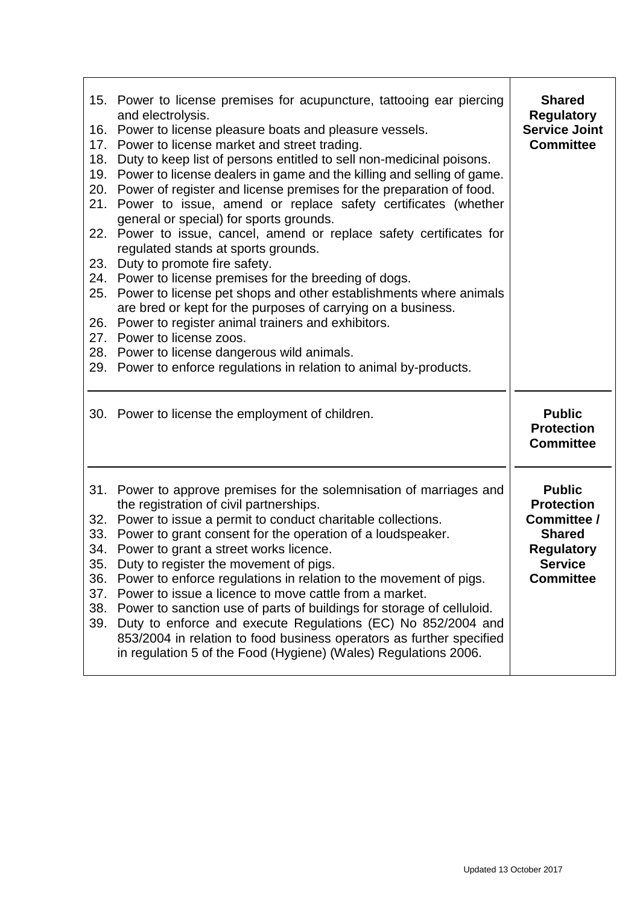| 18.                             | 15. Power to license premises for acupuncture, tattooing ear piercing<br>and electrolysis.<br>16. Power to license pleasure boats and pleasure vessels.<br>17. Power to license market and street trading.<br>Duty to keep list of persons entitled to sell non-medicinal poisons.<br>19. Power to license dealers in game and the killing and selling of game.<br>20. Power of register and license premises for the preparation of food.<br>21. Power to issue, amend or replace safety certificates (whether<br>general or special) for sports grounds.<br>22. Power to issue, cancel, amend or replace safety certificates for<br>regulated stands at sports grounds.<br>23. Duty to promote fire safety.<br>24. Power to license premises for the breeding of dogs.<br>25. Power to license pet shops and other establishments where animals<br>are bred or kept for the purposes of carrying on a business.<br>26. Power to register animal trainers and exhibitors.<br>27. Power to license zoos.<br>28. Power to license dangerous wild animals.<br>29. Power to enforce regulations in relation to animal by-products. | <b>Shared</b><br><b>Regulatory</b><br><b>Service Joint</b><br><b>Committee</b>                                                |
|---------------------------------|---------------------------------------------------------------------------------------------------------------------------------------------------------------------------------------------------------------------------------------------------------------------------------------------------------------------------------------------------------------------------------------------------------------------------------------------------------------------------------------------------------------------------------------------------------------------------------------------------------------------------------------------------------------------------------------------------------------------------------------------------------------------------------------------------------------------------------------------------------------------------------------------------------------------------------------------------------------------------------------------------------------------------------------------------------------------------------------------------------------------------------|-------------------------------------------------------------------------------------------------------------------------------|
|                                 | 30. Power to license the employment of children.                                                                                                                                                                                                                                                                                                                                                                                                                                                                                                                                                                                                                                                                                                                                                                                                                                                                                                                                                                                                                                                                                | <b>Public</b><br><b>Protection</b><br><b>Committee</b>                                                                        |
| 35.<br>36.<br>37.<br>38.<br>39. | 31. Power to approve premises for the solemnisation of marriages and<br>the registration of civil partnerships.<br>32. Power to issue a permit to conduct charitable collections.<br>33. Power to grant consent for the operation of a loudspeaker.<br>34. Power to grant a street works licence.<br>Duty to register the movement of pigs.<br>Power to enforce regulations in relation to the movement of pigs.<br>Power to issue a licence to move cattle from a market.<br>Power to sanction use of parts of buildings for storage of celluloid.<br>Duty to enforce and execute Regulations (EC) No 852/2004 and<br>853/2004 in relation to food business operators as further specified<br>in regulation 5 of the Food (Hygiene) (Wales) Regulations 2006.                                                                                                                                                                                                                                                                                                                                                                  | <b>Public</b><br><b>Protection</b><br>Committee /<br><b>Shared</b><br><b>Regulatory</b><br><b>Service</b><br><b>Committee</b> |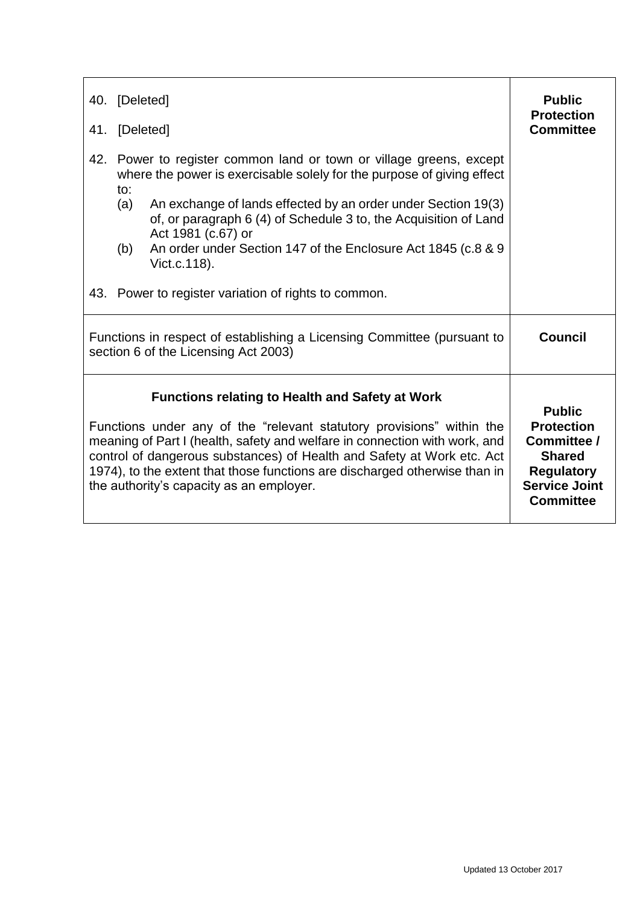| 41. | 40. [Deleted]<br>[Deleted]                                                                                                                                                                                                                                                                                                                                                                                        | <b>Public</b><br><b>Protection</b><br><b>Committee</b>                                                                              |
|-----|-------------------------------------------------------------------------------------------------------------------------------------------------------------------------------------------------------------------------------------------------------------------------------------------------------------------------------------------------------------------------------------------------------------------|-------------------------------------------------------------------------------------------------------------------------------------|
| 42. | Power to register common land or town or village greens, except<br>where the power is exercisable solely for the purpose of giving effect<br>to:<br>An exchange of lands effected by an order under Section 19(3)<br>(a)<br>of, or paragraph 6 (4) of Schedule 3 to, the Acquisition of Land<br>Act 1981 (c.67) or<br>An order under Section 147 of the Enclosure Act 1845 (c.8 & 9<br>(b)<br>Vict.c.118).        |                                                                                                                                     |
|     | 43. Power to register variation of rights to common.                                                                                                                                                                                                                                                                                                                                                              |                                                                                                                                     |
|     | Functions in respect of establishing a Licensing Committee (pursuant to<br>section 6 of the Licensing Act 2003)                                                                                                                                                                                                                                                                                                   | Council                                                                                                                             |
|     | <b>Functions relating to Health and Safety at Work</b><br>Functions under any of the "relevant statutory provisions" within the<br>meaning of Part I (health, safety and welfare in connection with work, and<br>control of dangerous substances) of Health and Safety at Work etc. Act<br>1974), to the extent that those functions are discharged otherwise than in<br>the authority's capacity as an employer. | <b>Public</b><br><b>Protection</b><br>Committee /<br><b>Shared</b><br><b>Regulatory</b><br><b>Service Joint</b><br><b>Committee</b> |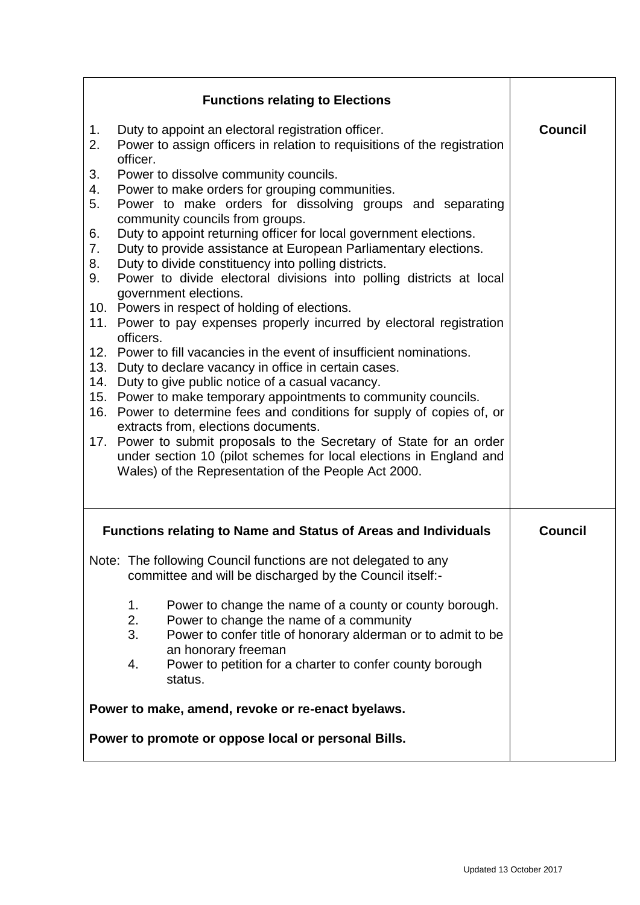|                      | <b>Functions relating to Elections</b>                                                                                                                                                                                                                                                                                       |                |
|----------------------|------------------------------------------------------------------------------------------------------------------------------------------------------------------------------------------------------------------------------------------------------------------------------------------------------------------------------|----------------|
| 1.<br>2.             | Duty to appoint an electoral registration officer.<br>Power to assign officers in relation to requisitions of the registration<br>officer.                                                                                                                                                                                   | <b>Council</b> |
| 3.<br>4.<br>5.       | Power to dissolve community councils.<br>Power to make orders for grouping communities.<br>Power to make orders for dissolving groups and separating<br>community councils from groups.                                                                                                                                      |                |
| 6.<br>7.<br>8.<br>9. | Duty to appoint returning officer for local government elections.<br>Duty to provide assistance at European Parliamentary elections.<br>Duty to divide constituency into polling districts.<br>Power to divide electoral divisions into polling districts at local                                                           |                |
|                      | government elections.<br>10. Powers in respect of holding of elections.<br>11. Power to pay expenses properly incurred by electoral registration<br>officers.                                                                                                                                                                |                |
| 13.<br>14.           | 12. Power to fill vacancies in the event of insufficient nominations.<br>Duty to declare vacancy in office in certain cases.<br>Duty to give public notice of a casual vacancy.<br>15. Power to make temporary appointments to community councils.<br>16. Power to determine fees and conditions for supply of copies of, or |                |
|                      | extracts from, elections documents.<br>17. Power to submit proposals to the Secretary of State for an order<br>under section 10 (pilot schemes for local elections in England and<br>Wales) of the Representation of the People Act 2000.                                                                                    |                |
|                      | <b>Functions relating to Name and Status of Areas and Individuals</b>                                                                                                                                                                                                                                                        | <b>Council</b> |
|                      | Note: The following Council functions are not delegated to any<br>committee and will be discharged by the Council itself:-                                                                                                                                                                                                   |                |
|                      | Power to change the name of a county or county borough.<br>1.<br>2.<br>Power to change the name of a community<br>3.<br>Power to confer title of honorary alderman or to admit to be<br>an honorary freeman                                                                                                                  |                |
|                      | Power to petition for a charter to confer county borough<br>4.<br>status.                                                                                                                                                                                                                                                    |                |
|                      | Power to make, amend, revoke or re-enact byelaws.                                                                                                                                                                                                                                                                            |                |
|                      | Power to promote or oppose local or personal Bills.                                                                                                                                                                                                                                                                          |                |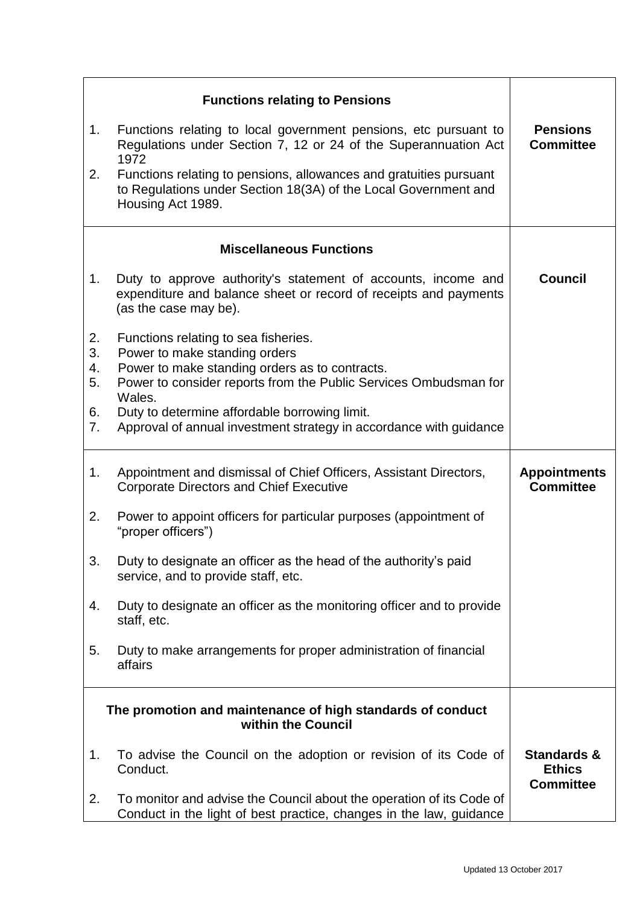|          | <b>Functions relating to Pensions</b>                                                                                                                      |                                                             |
|----------|------------------------------------------------------------------------------------------------------------------------------------------------------------|-------------------------------------------------------------|
| 1.       | Functions relating to local government pensions, etc pursuant to<br>Regulations under Section 7, 12 or 24 of the Superannuation Act<br>1972                | <b>Pensions</b><br><b>Committee</b>                         |
| 2.       | Functions relating to pensions, allowances and gratuities pursuant<br>to Regulations under Section 18(3A) of the Local Government and<br>Housing Act 1989. |                                                             |
|          | <b>Miscellaneous Functions</b>                                                                                                                             |                                                             |
| 1.       | Duty to approve authority's statement of accounts, income and<br>expenditure and balance sheet or record of receipts and payments<br>(as the case may be). | <b>Council</b>                                              |
| 2.       | Functions relating to sea fisheries.                                                                                                                       |                                                             |
| 3.<br>4. | Power to make standing orders<br>Power to make standing orders as to contracts.                                                                            |                                                             |
| 5.       | Power to consider reports from the Public Services Ombudsman for<br>Wales.                                                                                 |                                                             |
| 6.<br>7. | Duty to determine affordable borrowing limit.<br>Approval of annual investment strategy in accordance with guidance                                        |                                                             |
| 1.       | Appointment and dismissal of Chief Officers, Assistant Directors,<br><b>Corporate Directors and Chief Executive</b>                                        | <b>Appointments</b><br><b>Committee</b>                     |
| 2.       | Power to appoint officers for particular purposes (appointment of<br>"proper officers")                                                                    |                                                             |
| 3.       | Duty to designate an officer as the head of the authority's paid<br>service, and to provide staff, etc.                                                    |                                                             |
| 4.       | Duty to designate an officer as the monitoring officer and to provide<br>staff, etc.                                                                       |                                                             |
| 5.       | Duty to make arrangements for proper administration of financial<br>affairs                                                                                |                                                             |
|          | The promotion and maintenance of high standards of conduct<br>within the Council                                                                           |                                                             |
| 1.       | To advise the Council on the adoption or revision of its Code of<br>Conduct.                                                                               | <b>Standards &amp;</b><br><b>Ethics</b><br><b>Committee</b> |
| 2.       | To monitor and advise the Council about the operation of its Code of<br>Conduct in the light of best practice, changes in the law, guidance                |                                                             |